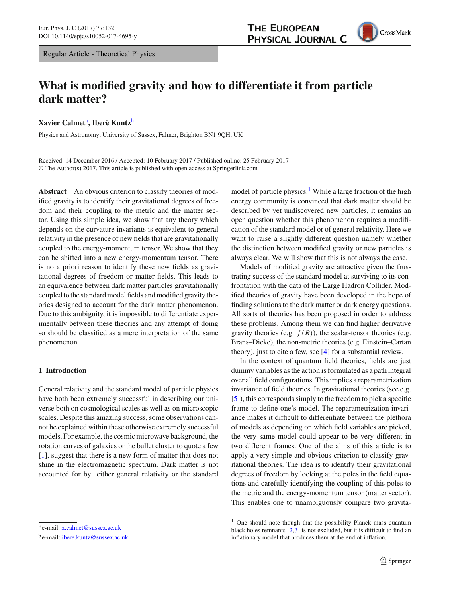Regular Article - Theoretical Physics

# **What is modified gravity and how to differentiate it from particle dark matter?**

**Xavier Calmet**a**, Iberê Kuntz**<sup>b</sup>

Physics and Astronomy, University of Sussex, Falmer, Brighton BN1 9QH, UK

Received: 14 December 2016 / Accepted: 10 February 2017 / Published online: 25 February 2017 © The Author(s) 2017. This article is published with open access at Springerlink.com

**Abstract** An obvious criterion to classify theories of modified gravity is to identify their gravitational degrees of freedom and their coupling to the metric and the matter sector. Using this simple idea, we show that any theory which depends on the curvature invariants is equivalent to general relativity in the presence of new fields that are gravitationally coupled to the energy-momentum tensor. We show that they can be shifted into a new energy-momentum tensor. There is no a priori reason to identify these new fields as gravitational degrees of freedom or matter fields. This leads to an equivalence between dark matter particles gravitationally coupled to the standard model fields and modified gravity theories designed to account for the dark matter phenomenon. Due to this ambiguity, it is impossible to differentiate experimentally between these theories and any attempt of doing so should be classified as a mere interpretation of the same phenomenon.

# **1 Introduction**

General relativity and the standard model of particle physics have both been extremely successful in describing our universe both on cosmological scales as well as on microscopic scales. Despite this amazing success, some observations cannot be explained within these otherwise extremely successful models. For example, the cosmic microwave background, the rotation curves of galaxies or the bullet cluster to quote a few [\[1](#page-5-0)], suggest that there is a new form of matter that does not shine in the electromagnetic spectrum. Dark matter is not accounted for by either general relativity or the standard model of particle physics.<sup>1</sup> While a large fraction of the high energy community is convinced that dark matter should be described by yet undiscovered new particles, it remains an open question whether this phenomenon requires a modification of the standard model or of general relativity. Here we want to raise a slightly different question namely whether the distinction between modified gravity or new particles is always clear. We will show that this is not always the case.

**THE EUROPEAN** 

PHYSICAL JOURNAL C

Models of modified gravity are attractive given the frustrating success of the standard model at surviving to its confrontation with the data of the Large Hadron Collider. Modified theories of gravity have been developed in the hope of finding solutions to the dark matter or dark energy questions. All sorts of theories has been proposed in order to address these problems. Among them we can find higher derivative gravity theories (e.g.  $f(R)$ ), the scalar-tensor theories (e.g. Brans–Dicke), the non-metric theories (e.g. Einstein–Cartan theory), just to cite a few, see [\[4](#page-5-1)] for a substantial review.

In the context of quantum field theories, fields are just dummy variables as the action is formulated as a path integral over all field configurations. This implies a reparametrization invariance of field theories. In gravitational theories (see e.g. [\[5](#page-5-2)]), this corresponds simply to the freedom to pick a specific frame to define one's model. The reparametrization invariance makes it difficult to differentiate between the plethora of models as depending on which field variables are picked, the very same model could appear to be very different in two different frames. One of the aims of this article is to apply a very simple and obvious criterion to classify gravitational theories. The idea is to identify their gravitational degrees of freedom by looking at the poles in the field equations and carefully identifying the coupling of this poles to the metric and the energy-momentum tensor (matter sector). This enables one to unambiguously compare two gravita-

<sup>a</sup> e-mail: [x.calmet@sussex.ac.uk](mailto:x.calmet@sussex.ac.uk)

<sup>b</sup> e-mail: [ibere.kuntz@sussex.ac.uk](mailto:ibere.kuntz@sussex.ac.uk)

<span id="page-0-0"></span><sup>&</sup>lt;sup>1</sup> One should note though that the possibility Planck mass quantum black holes remnants [\[2](#page-5-3)[,3](#page-5-4)] is not excluded, but it is difficult to find an inflationary model that produces them at the end of inflation.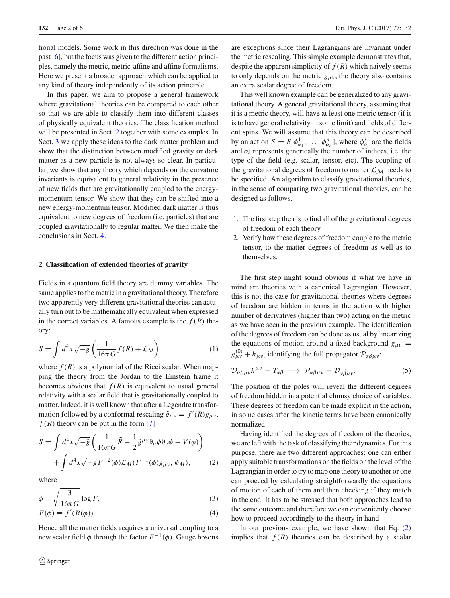tional models. Some work in this direction was done in the past [\[6](#page-5-5)], but the focus was given to the different action principles, namely the metric, metric-affine and affine formalisms. Here we present a broader approach which can be applied to any kind of theory independently of its action principle.

In this paper, we aim to propose a general framework where gravitational theories can be compared to each other so that we are able to classify them into different classes of physically equivalent theories. The classification method will be presented in Sect. [2](#page-1-0) together with some examples. In Sect. [3](#page-4-0) we apply these ideas to the dark matter problem and show that the distinction between modified gravity or dark matter as a new particle is not always so clear. In particular, we show that any theory which depends on the curvature invariants is equivalent to general relativity in the presence of new fields that are gravitationally coupled to the energymomentum tensor. We show that they can be shifted into a new energy-momentum tensor. Modified dark matter is thus equivalent to new degrees of freedom (i.e. particles) that are coupled gravitationally to regular matter. We then make the conclusions in Sect. [4.](#page-4-1)

#### <span id="page-1-0"></span>**2 Classification of extended theories of gravity**

Fields in a quantum field theory are dummy variables. The same applies to the metric in a gravitational theory. Therefore two apparently very different gravitational theories can actually turn out to be mathematically equivalent when expressed in the correct variables. A famous example is the  $f(R)$  theory:

$$
S = \int d^4x \sqrt{-g} \left( \frac{1}{16\pi G} f(R) + \mathcal{L}_M \right) \tag{1}
$$

where  $f(R)$  is a polynomial of the Ricci scalar. When mapping the theory from the Jordan to the Einstein frame it becomes obvious that  $f(R)$  is equivalent to usual general relativity with a scalar field that is gravitationally coupled to matter. Indeed, it is well known that after a Legendre transformation followed by a conformal rescaling  $\tilde{g}_{\mu\nu} = f'(R)g_{\mu\nu}$ ,  $f(R)$  theory can be put in the form [\[7\]](#page-5-6)

<span id="page-1-1"></span>
$$
S = \int d^4x \sqrt{-\tilde{g}} \left( \frac{1}{16\pi G} \tilde{R} - \frac{1}{2} \tilde{g}^{\mu\nu} \partial_\mu \phi \partial_\nu \phi - V(\phi) \right) + \int d^4x \sqrt{-\tilde{g}} F^{-2}(\phi) \mathcal{L}_M(F^{-1}(\phi) \tilde{g}_{\mu\nu}, \psi_M),
$$
 (2)

where

$$
\phi \equiv \sqrt{\frac{3}{16\pi G} \log F},\tag{3}
$$

$$
F(\phi) \equiv f'(R(\phi)).\tag{4}
$$

Hence all the matter fields acquires a universal coupling to a new scalar field  $\phi$  through the factor  $F^{-1}(\phi)$ . Gauge bosons are exceptions since their Lagrangians are invariant under the metric rescaling. This simple example demonstrates that, despite the apparent simplicity of  $f(R)$  which naively seems to only depends on the metric  $g_{\mu\nu}$ , the theory also contains an extra scalar degree of freedom.

This well known example can be generalized to any gravitational theory. A general gravitational theory, assuming that it is a metric theory, will have at least one metric tensor (if it is to have general relativity in some limit) and fields of different spins. We will assume that this theory can be described by an action  $S = S[\phi_{\alpha_1}^1, \ldots, \phi_{\alpha_n}^n]$ , where  $\phi_{\alpha_i}^i$  are the fields and  $\alpha_i$  represents generically the number of indices, i.e. the type of the field (e.g. scalar, tensor, etc). The coupling of the gravitational degrees of freedom to matter  $\mathcal{L}_M$  needs to be specified. An algorithm to classify gravitational theories, in the sense of comparing two gravitational theories, can be designed as follows.

- 1. The first step then is to find all of the gravitational degrees of freedom of each theory.
- 2. Verify how these degrees of freedom couple to the metric tensor, to the matter degrees of freedom as well as to themselves.

The first step might sound obvious if what we have in mind are theories with a canonical Lagrangian. However, this is not the case for gravitational theories where degrees of freedom are hidden in terms in the action with higher number of derivatives (higher than two) acting on the metric as we have seen in the previous example. The identification of the degrees of freedom can be done as usual by linearizing the equations of motion around a fixed background  $g_{\mu\nu}$  =  $g_{\mu\nu}^{(0)} + h_{\mu\nu}$ , identifying the full propagator  $\mathcal{P}_{\alpha\beta\mu\nu}$ :

$$
\mathcal{D}_{\alpha\beta\mu\nu}h^{\mu\nu} = T_{\alpha\beta} \implies \mathcal{P}_{\alpha\beta\mu\nu} = \mathcal{D}_{\alpha\beta\mu\nu}^{-1}.\tag{5}
$$

The position of the poles will reveal the different degrees of freedom hidden in a potential clumsy choice of variables. These degrees of freedom can be made explicit in the action, in some cases after the kinetic terms have been canonically normalized.

Having identified the degrees of freedom of the theories, we are left with the task of classifying their dynamics. For this purpose, there are two different approaches: one can either apply suitable transformations on the fields on the level of the Lagrangian in order to try to map one theory to another or one can proceed by calculating straightforwardly the equations of motion of each of them and then checking if they match in the end. It has to be stressed that both approaches lead to the same outcome and therefore we can conveniently choose how to proceed accordingly to the theory in hand.

In our previous example, we have shown that Eq. [\(2\)](#page-1-1) implies that  $f(R)$  theories can be described by a scalar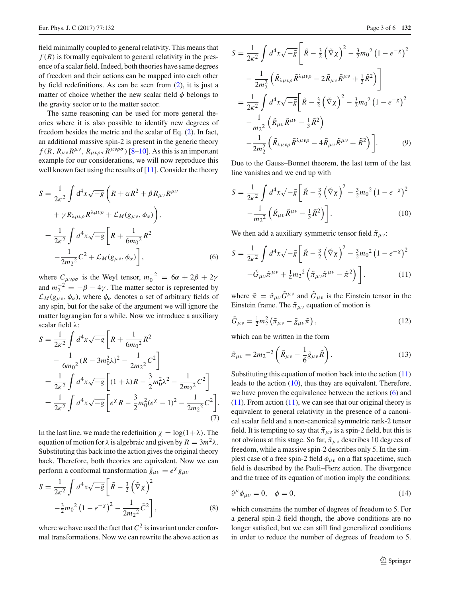field minimally coupled to general relativity. This means that  $f(R)$  is formally equivalent to general relativity in the presence of a scalar field. Indeed, both theories have same degrees of freedom and their actions can be mapped into each other by field redefinitions. As can be seen from [\(2\)](#page-1-1), it is just a matter of choice whether the new scalar field  $\phi$  belongs to the gravity sector or to the matter sector.

The same reasoning can be used for more general theories where it is also possible to identify new degrees of freedom besides the metric and the scalar of Eq. [\(2\)](#page-1-1). In fact, an additional massive spin-2 is present in the generic theory  $f(R, R_{\mu\nu}R^{\mu\nu}, R_{\mu\nu\rho\sigma}R^{\mu\nu\rho\sigma})$  [\[8](#page-5-7)[–10\]](#page-5-8). As this is an important example for our considerations, we will now reproduce this well known fact using the results of  $[11]$  $[11]$ . Consider the theory

<span id="page-2-2"></span>
$$
S = \frac{1}{2\kappa^2} \int d^4 x \sqrt{-g} \left( R + \alpha R^2 + \beta R_{\mu\nu} R^{\mu\nu} + \gamma R_{\lambda\mu\nu\rho} R^{\lambda\mu\nu\rho} + \mathcal{L}_M(g_{\mu\nu}, \phi_\alpha) \right),
$$
  
= 
$$
\frac{1}{2\kappa^2} \int d^4 x \sqrt{-g} \left[ R + \frac{1}{6m_0^2} R^2 - \frac{1}{2m_2^2} C^2 + \mathcal{L}_M(g_{\mu\nu}, \phi_\alpha) \right],
$$
 (6)

where  $C_{\mu\nu\rho\sigma}$  is the Weyl tensor,  $m_0^{-2} = 6\alpha + 2\beta + 2\gamma$ and  $m_2^{-2} = -\beta - 4\gamma$ . The matter sector is represented by  $\mathcal{L}_M(g_{\mu\nu}, \phi_\alpha)$ , where  $\phi_\alpha$  denotes a set of arbitrary fields of any spin, but for the sake of the argument we will ignore the matter lagrangian for a while. Now we introduce a auxiliary scalar field λ:

$$
S = \frac{1}{2\kappa^2} \int d^4 x \sqrt{-g} \left[ R + \frac{1}{6m_0^2} R^2 - \frac{1}{6m_0^2} (R - 3m_0^2 \lambda)^2 - \frac{1}{2m_2^2} C^2 \right]
$$
  
=  $\frac{1}{2\kappa^2} \int d^4 x \sqrt{-g} \left[ (1 + \lambda) R - \frac{3}{2} m_0^2 \lambda^2 - \frac{1}{2m_2^2} C^2 \right]$   
=  $\frac{1}{2\kappa^2} \int d^4 x \sqrt{-g} \left[ e^{\chi} R - \frac{3}{2} m_0^2 (e^{\chi} - 1)^2 - \frac{1}{2m_2^2} C^2 \right].$  (7)

In the last line, we made the redefinition  $\chi = \log(1 + \lambda)$ . The equation of motion for  $\lambda$  is algebraic and given by  $R = 3m^2\lambda$ . Substituting this back into the action gives the original theory back. Therefore, both theories are equivalent. Now we can perform a conformal transformation  $\tilde{g}_{\mu\nu} = e^{\chi} g_{\mu\nu}$ 

$$
S = \frac{1}{2\kappa^2} \int d^4 x \sqrt{-\tilde{g}} \left[ \tilde{R} - \frac{3}{2} \left( \tilde{\nabla} \chi \right)^2 - \frac{3}{2} m_0^2 \left( 1 - e^{-\chi} \right)^2 - \frac{1}{2m_2^2} \tilde{C}^2 \right],
$$
 (8)

where we have used the fact that  $C^2$  is invariant under conformal transformations. Now we can rewrite the above action as

$$
S = \frac{1}{2\kappa^2} \int d^4 x \sqrt{-\tilde{g}} \left[ \tilde{R} - \frac{3}{2} \left( \tilde{\nabla} \chi \right)^2 - \frac{3}{2} m_0^2 \left( 1 - e^{-\chi} \right)^2 - \frac{1}{2m_2^2} \left( \tilde{R}_{\lambda \mu \nu \rho} \tilde{R}^{\lambda \mu \nu \rho} - 2 \tilde{R}_{\mu \nu} \tilde{R}^{\mu \nu} + \frac{1}{3} \tilde{R}^2 \right) \right]
$$
  

$$
= \frac{1}{2\kappa^2} \int d^4 x \sqrt{-\tilde{g}} \left[ \tilde{R} - \frac{3}{2} \left( \tilde{\nabla} \chi \right)^2 - \frac{3}{2} m_0^2 \left( 1 - e^{-\chi} \right)^2 - \frac{1}{m_2^2} \left( \tilde{R}_{\mu \nu} \tilde{R}^{\mu \nu} - \frac{1}{3} \tilde{R}^2 \right) - \frac{1}{2m_2^2} \left( \tilde{R}_{\lambda \mu \nu \rho} \tilde{R}^{\lambda \mu \nu \rho} - 4 \tilde{R}_{\mu \nu} \tilde{R}^{\mu \nu} + \tilde{R}^2 \right) \right].
$$
 (9)

Due to the Gauss–Bonnet theorem, the last term of the last line vanishes and we end up with

<span id="page-2-1"></span>
$$
S = \frac{1}{2\kappa^2} \int d^4 x \sqrt{-\tilde{g}} \left[ \tilde{R} - \frac{3}{2} \left( \tilde{\nabla} \chi \right)^2 - \frac{3}{2} m_0^2 \left( 1 - e^{-\chi} \right)^2 - \frac{1}{m_2^2} \left( \tilde{R}_{\mu\nu} \tilde{R}^{\mu\nu} - \frac{1}{3} \tilde{R}^2 \right) \right].
$$
 (10)

We then add a auxiliary symmetric tensor field  $\tilde{\pi}_{\mu\nu}$ :

<span id="page-2-0"></span>
$$
S = \frac{1}{2\kappa^2} \int d^4x \sqrt{-\tilde{g}} \left[ \tilde{R} - \frac{3}{2} \left( \tilde{\nabla} \chi \right)^2 - \frac{3}{2} m_0^2 \left( 1 - e^{-\chi} \right)^2 - \tilde{G}_{\mu\nu} \tilde{\pi}^{\mu\nu} + \frac{1}{4} m_2^2 \left( \tilde{\pi}_{\mu\nu} \tilde{\pi}^{\mu\nu} - \tilde{\pi}^2 \right) \right].
$$
 (11)

where  $\tilde{\pi} = \tilde{\pi}_{\mu\nu} \tilde{G}^{\mu\nu}$  and  $\tilde{G}_{\mu\nu}$  is the Einstein tensor in the Einstein frame. The  $\tilde{\pi}_{\mu\nu}$  equation of motion is

$$
\tilde{G}_{\mu\nu} = \frac{1}{2}m_2^2 \left(\tilde{\pi}_{\mu\nu} - \tilde{g}_{\mu\nu}\tilde{\pi}\right),\tag{12}
$$

which can be written in the form

$$
\tilde{\pi}_{\mu\nu} = 2m_2^{-2} \left( \tilde{R}_{\mu\nu} - \frac{1}{6} \tilde{g}_{\mu\nu} \tilde{R} \right). \tag{13}
$$

Substituting this equation of motion back into the action [\(11\)](#page-2-0) leads to the action [\(10\)](#page-2-1), thus they are equivalent. Therefore, we have proven the equivalence between the actions [\(6\)](#page-2-2) and  $(11)$ . From action  $(11)$ , we can see that our original theory is equivalent to general relativity in the presence of a canonical scalar field and a non-canonical symmetric rank-2 tensor field. It is tempting to say that  $\tilde{\pi}_{\mu\nu}$  is a spin-2 field, but this is not obvious at this stage. So far,  $\tilde{\pi}_{\mu\nu}$  describes 10 degrees of freedom, while a massive spin-2 describes only 5. In the simplest case of a free spin-2 field  $\phi_{\mu\nu}$  on a flat spacetime, such field is described by the Pauli–Fierz action. The divergence and the trace of its equation of motion imply the conditions:

$$
\partial^{\mu} \phi_{\mu\nu} = 0, \quad \phi = 0,
$$
 (14)

which constrains the number of degrees of freedom to 5. For a general spin-2 field though, the above conditions are no longer satisfied, but we can still find generalized conditions in order to reduce the number of degrees of freedom to 5.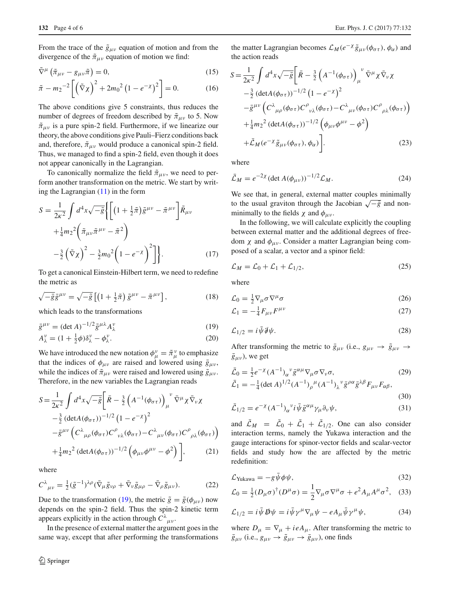From the trace of the  $\tilde{g}_{\mu\nu}$  equation of motion and from the divergence of the  $\tilde{\pi}_{\mu\nu}$  equation of motion we find:

$$
\tilde{\nabla}^{\mu} \left( \tilde{\pi}_{\mu \nu} - g_{\mu \nu} \tilde{\pi} \right) = 0, \tag{15}
$$

$$
\tilde{\pi} - m_2^{-2} \left[ \left( \tilde{\nabla} \chi \right)^2 + 2m_0^2 \left( 1 - e^{-\chi} \right)^2 \right] = 0. \tag{16}
$$

The above conditions give 5 constraints, thus reduces the number of degrees of freedom described by  $\tilde{\pi}_{\mu\nu}$  to 5. Now  $\tilde{\pi}_{\mu\nu}$  is a pure spin-2 field. Furthermore, if we linearize our theory, the above conditions give Pauli–Fierz conditions back and, therefore,  $\tilde{\pi}_{\mu\nu}$  would produce a canonical spin-2 field. Thus, we managed to find a spin-2 field, even though it does not appear canonically in the Lagrangian.

To canonically normalize the field  $\tilde{\pi}_{\mu\nu}$ , we need to perform another transformation on the metric. We start by writing the Lagrangian  $(11)$  in the form

$$
S = \frac{1}{2\kappa^2} \int d^4x \sqrt{-\tilde{g}} \left\{ \left[ \left( 1 + \frac{1}{2}\tilde{\pi} \right) \tilde{g}^{\mu\nu} - \tilde{\pi}^{\mu\nu} \right] \tilde{R}_{\mu\nu} \right.\left. + \frac{1}{4} m_2^2 \left( \tilde{\pi}_{\mu\nu} \tilde{\pi}^{\mu\nu} - \tilde{\pi}^2 \right) \right.\left. - \frac{3}{2} \left( \tilde{\nabla} \chi \right)^2 - \frac{3}{2} m_0^2 \left( 1 - e^{-\chi} \right)^2 \right] \right\}. \tag{17}
$$

To get a canonical Einstein-Hilbert term, we need to redefine the metric as

$$
\sqrt{-\tilde{g}}\,\tilde{g}^{\mu\nu} = \sqrt{-\tilde{g}}\left[\left(1 + \frac{1}{2}\tilde{\pi}\right)\tilde{g}^{\mu\nu} - \tilde{\pi}^{\mu\nu}\right],\tag{18}
$$

which leads to the transformations

<span id="page-3-0"></span>
$$
\bar{g}^{\mu\nu} = (\det A)^{-1/2} \tilde{g}^{\mu\lambda} A_{\lambda}^{\nu}
$$
 (19)

$$
A_{\lambda}^{\nu} = (1 + \frac{1}{2}\phi)\delta_{\lambda}^{\nu} - \phi_{\lambda}^{\nu}.
$$
 (20)

We have introduced the new notation  $\phi_{\mu}^{\nu} = \tilde{\pi}_{\mu}^{\nu}$  to emphasize that the indices of  $\phi_{\mu\nu}$  are raised and lowered using  $\bar{g}_{\mu\nu}$ , while the indices of  $\tilde{\pi}_{\mu\nu}$  were raised and lowered using  $\tilde{g}_{\mu\nu}$ . Therefore, in the new variables the Lagrangian reads

$$
S = \frac{1}{2\kappa^2} \int d^4x \sqrt{-\bar{g}} \left[ \bar{R} - \frac{3}{2} \left( A^{-1} (\phi_{\sigma \tau}) \right)_{\mu}^{\nu} \bar{\nabla}^{\mu} \chi \bar{\nabla}_{\nu} \chi - \frac{3}{2} \left( \det A (\phi_{\sigma \tau}) \right)^{-1/2} \left( 1 - e^{-\chi} \right)^2 - \bar{g}^{\mu \nu} \left( C^{\lambda}{}_{\mu \rho} (\phi_{\sigma \tau}) C^{\rho}{}_{\nu \lambda} (\phi_{\sigma \tau}) - C^{\lambda}{}_{\mu \nu} (\phi_{\sigma \tau}) C^{\rho}{}_{\rho \lambda} (\phi_{\sigma \tau}) \right) + \frac{1}{4} m_2{}^2 \left( \det A (\phi_{\sigma \tau}) \right)^{-1/2} \left( \phi_{\mu \nu} \phi^{\mu \nu} - \phi^2 \right) \bigg], \tag{21}
$$

where

$$
C^{\lambda}{}_{\mu\nu} = \frac{1}{2} (\tilde{g}^{-1})^{\lambda\rho} (\bar{\nabla}_{\mu} \tilde{g}_{\nu\rho} + \bar{\nabla}_{\nu} \tilde{g}_{\mu\rho} - \bar{\nabla}_{\rho} \tilde{g}_{\mu\nu}).
$$
 (22)

Due to the transformation [\(19\)](#page-3-0), the metric  $\tilde{g} = \tilde{g}(\phi_{\mu\nu})$  now depends on the spin-2 field. Thus the spin-2 kinetic term appears explicitly in the action through  $C^{\lambda}{}_{\mu\nu}$ .

In the presence of external matter the argument goes in the same way, except that after performing the transformations the matter Lagrangian becomes  $\mathcal{L}_M(e^{-\chi}\tilde{g}_{\mu\nu}(\phi_{\sigma\tau}), \phi_\alpha)$  and the action reads

$$
S = \frac{1}{2\kappa^2} \int d^4x \sqrt{-\bar{g}} \left[ \bar{R} - \frac{3}{2} \left( A^{-1} (\phi_{\sigma \tau}) \right)_{\mu}^{\nu} \bar{\nabla}^{\mu} \chi \bar{\nabla}_{\nu} \chi -\frac{3}{2} \left( \det A (\phi_{\sigma \tau}) \right)^{-1/2} \left( 1 - e^{-\chi} \right)^2 -\bar{g}^{\mu \nu} \left( C^{\lambda}{}_{\mu \rho} (\phi_{\sigma \tau}) C^{\rho}{}_{\nu \lambda} (\phi_{\sigma \tau}) - C^{\lambda}{}_{\mu \nu} (\phi_{\sigma \tau}) C^{\rho}{}_{\rho \lambda} (\phi_{\sigma \tau}) \right) +\frac{1}{4} m_2^2 \left( \det A (\phi_{\sigma \tau}) \right)^{-1/2} \left( \phi_{\mu \nu} \phi^{\mu \nu} - \phi^2 \right) +\bar{\mathcal{L}}_M (e^{-\chi} \tilde{g}_{\mu \nu} (\phi_{\sigma \tau}), \phi_\alpha) \right].
$$
 (23)

where

$$
\bar{\mathcal{L}}_M = e^{-2\chi} (\det A(\phi_{\mu\nu}))^{-1/2} \mathcal{L}_M.
$$
 (24)

We see that, in general, external matter couples minimally to the usual graviton through the Jacobian  $\sqrt{-\bar{g}}$  and nonminimally to the fields  $\chi$  and  $\phi_{\mu\nu}$ .

In the following, we will calculate explicitly the coupling between external matter and the additional degrees of freedom  $χ$  and  $φ_{μν}$ . Consider a matter Lagrangian being composed of a scalar, a vector and a spinor field:

$$
\mathcal{L}_M = \mathcal{L}_0 + \mathcal{L}_1 + \mathcal{L}_{1/2},\tag{25}
$$

where

$$
\mathcal{L}_0 = \frac{1}{2} \nabla_{\mu} \sigma \nabla^{\mu} \sigma \tag{26}
$$

$$
\mathcal{L}_1 = -\frac{1}{4} F_{\mu\nu} F^{\mu\nu} \tag{27}
$$

$$
\mathcal{L}_{1/2} = i\bar{\psi}\,\partial\!\!\!/ \psi. \tag{28}
$$

After transforming the metric to  $\bar{g}_{\mu\nu}$  (i.e.,  $g_{\mu\nu} \rightarrow \tilde{g}_{\mu\nu}$ )  $\bar{g}_{\mu\nu}$ ), we get

$$
\bar{\mathcal{L}}_0 = \frac{1}{2} e^{-\chi} (A^{-1})_\alpha{}^\nu \bar{g}^{\alpha \mu} \nabla_\mu \sigma \nabla_\nu \sigma,
$$
\n(29)  
\n
$$
\bar{\mathcal{L}}_1 = -\frac{1}{4} (\det A)^{1/2} (A^{-1})_\rho{}^\mu (A^{-1})_\lambda{}^\nu \bar{g}^{\rho \alpha} \bar{g}^{\lambda \beta} F_{\mu \nu} F_{\alpha \beta},
$$

$$
(30)
$$

$$
\bar{\mathcal{L}}_{1/2} = e^{-\chi} (A^{-1})_{\alpha}{}^{\nu} i \bar{\psi} \bar{g}^{\alpha \mu} \gamma_{\mu} \partial_{\nu} \psi, \tag{31}
$$

and  $\mathcal{L}_M = \mathcal{L}_0 + \mathcal{L}_1 + \mathcal{L}_{1/2}$ . One can also consider interaction terms, namely the Yukawa interaction and the gauge interactions for spinor-vector fields and scalar-vector fields and study how the are affected by the metric redefinition:

$$
\mathcal{L}_{\text{Yukawa}} = -g\bar{\psi}\phi\psi,\tag{32}
$$

$$
\mathcal{L}_0 = \frac{1}{2} (D_\mu \sigma)^\dagger (D^\mu \sigma) = \frac{1}{2} \nabla_\mu \sigma \nabla^\mu \sigma + e^2 A_\mu A^\mu \sigma^2, \quad (33)
$$

$$
\mathcal{L}_{1/2} = i \bar{\psi} \, \mathcal{D}\psi = i \bar{\psi} \gamma^{\mu} \nabla_{\mu} \psi - e A_{\mu} \bar{\psi} \gamma^{\mu} \psi, \tag{34}
$$

where  $D_{\mu} = \nabla_{\mu} + ieA_{\mu}$ . After transforming the metric to  $\bar{g}_{\mu\nu}$  (i.e.,  $g_{\mu\nu} \rightarrow \tilde{g}_{\mu\nu} \rightarrow \bar{g}_{\mu\nu}$ ), one finds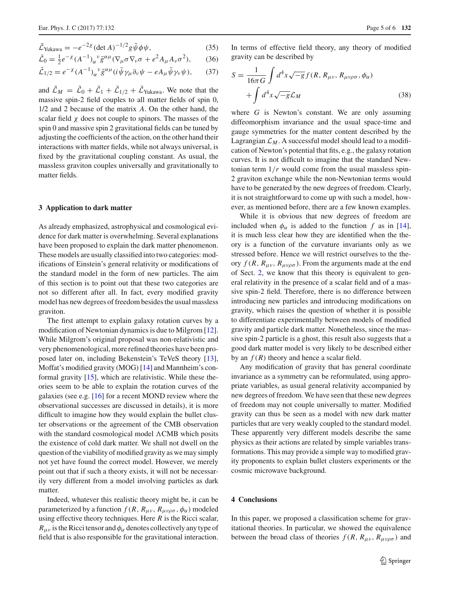$$
\bar{\mathcal{L}}_{\text{Yukawa}} = -e^{-2\chi} (\det A)^{-1/2} g \bar{\psi} \phi \psi, \qquad (35)
$$

$$
\bar{\mathcal{L}}_0 = \frac{1}{2} e^{-\chi} (A^{-1})_\alpha{}^\nu \bar{g}^{\alpha \mu} (\nabla_\mu \sigma \nabla_\nu \sigma + e^2 A_\mu A_\nu \sigma^2), \qquad (36)
$$

$$
\bar{\mathcal{L}}_{1/2} = e^{-\chi} (A^{-1})_{\alpha}{}^{\nu} \bar{g}^{\alpha \mu} (i \bar{\psi} \gamma_{\mu} \partial_{\nu} \psi - e A_{\mu} \bar{\psi} \gamma_{\nu} \psi), \qquad (37)
$$

and  $\mathcal{L}_M = \mathcal{L}_0 + \mathcal{L}_1 + \mathcal{L}_{1/2} + \mathcal{L}_{\text{Yukawa}}$ . We note that the massive spin-2 field couples to all matter fields of spin 0, 1/2 and 2 because of the matrix *A*. On the other hand, the scalar field  $\chi$  does not couple to spinors. The masses of the spin 0 and massive spin 2 gravitational fields can be tuned by adjusting the coefficients of the action, on the other hand their interactions with matter fields, while not always universal, is fixed by the gravitational coupling constant. As usual, the massless graviton couples universally and gravitationally to matter fields.

## <span id="page-4-0"></span>**3 Application to dark matter**

As already emphasized, astrophysical and cosmological evidence for dark matter is overwhelming. Several explanations have been proposed to explain the dark matter phenomenon. These models are usually classified into two categories: modifications of Einstein's general relativity or modifications of the standard model in the form of new particles. The aim of this section is to point out that these two categories are not so different after all. In fact, every modified gravity model has new degrees of freedom besides the usual massless graviton.

The first attempt to explain galaxy rotation curves by a modification of Newtonian dynamics is due to Milgrom [\[12](#page-5-10)]. While Milgrom's original proposal was non-relativistic and very phenomenological, more refined theories have been proposed later on, including Bekenstein's TeVeS theory [\[13](#page-5-11)], Moffat's modified gravity (MOG) [\[14\]](#page-5-12) and Mannheim's conformal gravity [\[15\]](#page-5-13), which are relativistic. While these theories seem to be able to explain the rotation curves of the galaxies (see e.g. [\[16\]](#page-5-14) for a recent MOND review where the observational successes are discussed in details), it is more difficult to imagine how they would explain the bullet cluster observations or the agreement of the CMB observation with the standard cosmological model  $\Lambda CMB$  which posits the existence of cold dark matter. We shall not dwell on the question of the viability of modified gravity as we may simply not yet have found the correct model. However, we merely point out that if such a theory exists, it will not be necessarily very different from a model involving particles as dark matter.

Indeed, whatever this realistic theory might be, it can be parameterized by a function  $f(R, R_{\mu\nu}, R_{\mu\nu\rho\sigma}, \phi_\alpha)$  modeled using effective theory techniques. Here *R* is the Ricci scalar,  $R_{\mu\nu}$  is the Ricci tensor and  $\phi_\alpha$  denotes collectively any type of field that is also responsible for the gravitational interaction.

In terms of effective field theory, any theory of modified gravity can be described by

$$
S = \frac{1}{16\pi G} \int d^4x \sqrt{-g} f(R, R_{\mu\nu}, R_{\mu\nu\rho\sigma}, \phi_\alpha)
$$

$$
+ \int d^4x \sqrt{-g} \mathcal{L}_M \tag{38}
$$

where *G* is Newton's constant. We are only assuming diffeomorphism invariance and the usual space-time and gauge symmetries for the matter content described by the Lagrangian  $\mathcal{L}_M$ . A successful model should lead to a modification of Newton's potential that fits, e.g., the galaxy rotation curves. It is not difficult to imagine that the standard Newtonian term  $1/r$  would come from the usual massless spin-2 graviton exchange while the non-Newtonian terms would have to be generated by the new degrees of freedom. Clearly, it is not straightforward to come up with such a model, however, as mentioned before, there are a few known examples.

While it is obvious that new degrees of freedom are included when  $\phi_{\alpha}$  is added to the function *f* as in [\[14](#page-5-12)], it is much less clear how they are identified when the theory is a function of the curvature invariants only as we stressed before. Hence we will restrict ourselves to the theory  $f(R, R_{\mu\nu}, R_{\mu\nu\rho\sigma})$ . From the arguments made at the end of Sect. [2,](#page-1-0) we know that this theory is equivalent to general relativity in the presence of a scalar field and of a massive spin-2 field. Therefore, there is no difference between introducing new particles and introducing modifications on gravity, which raises the question of whether it is possible to differentiate experimentally between models of modified gravity and particle dark matter. Nonetheless, since the massive spin-2 particle is a ghost, this result also suggests that a good dark matter model is very likely to be described either by an  $f(R)$  theory and hence a scalar field.

Any modification of gravity that has general coordinate invariance as a symmetry can be reformulated, using appropriate variables, as usual general relativity accompanied by new degrees of freedom. We have seen that these new degrees of freedom may not couple universally to matter. Modified gravity can thus be seen as a model with new dark matter particles that are very weakly coupled to the standard model. These apparently very different models describe the same physics as their actions are related by simple variables transformations. This may provide a simple way to modified gravity proponents to explain bullet clusters experiments or the cosmic microwave background.

#### <span id="page-4-1"></span>**4 Conclusions**

In this paper, we proposed a classification scheme for gravitational theories. In particular, we showed the equivalence between the broad class of theories  $f(R, R_{\mu\nu}, R_{\mu\nu\rho\sigma})$  and